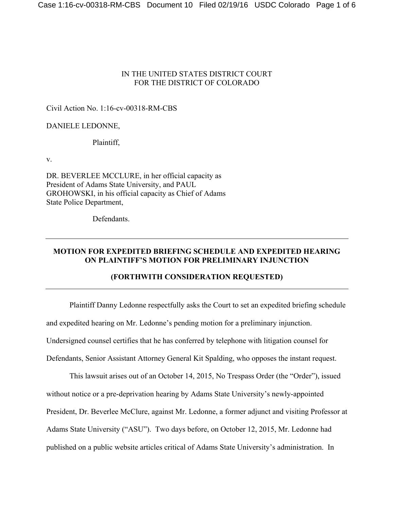# IN THE UNITED STATES DISTRICT COURT FOR THE DISTRICT OF COLORADO

## Civil Action No. 1:16-cv-00318-RM-CBS

#### DANIELE LEDONNE,

#### Plaintiff,

v.

DR. BEVERLEE MCCLURE, in her official capacity as President of Adams State University, and PAUL GROHOWSKI, in his official capacity as Chief of Adams State Police Department,

Defendants.

# **MOTION FOR EXPEDITED BRIEFING SCHEDULE AND EXPEDITED HEARING ON PLAINTIFF'S MOTION FOR PRELIMINARY INJUNCTION**

# **(FORTHWITH CONSIDERATION REQUESTED)**

Plaintiff Danny Ledonne respectfully asks the Court to set an expedited briefing schedule and expedited hearing on Mr. Ledonne's pending motion for a preliminary injunction. Undersigned counsel certifies that he has conferred by telephone with litigation counsel for Defendants, Senior Assistant Attorney General Kit Spalding, who opposes the instant request.

This lawsuit arises out of an October 14, 2015, No Trespass Order (the "Order"), issued without notice or a pre-deprivation hearing by Adams State University's newly-appointed President, Dr. Beverlee McClure, against Mr. Ledonne, a former adjunct and visiting Professor at Adams State University ("ASU"). Two days before, on October 12, 2015, Mr. Ledonne had published on a public website articles critical of Adams State University's administration. In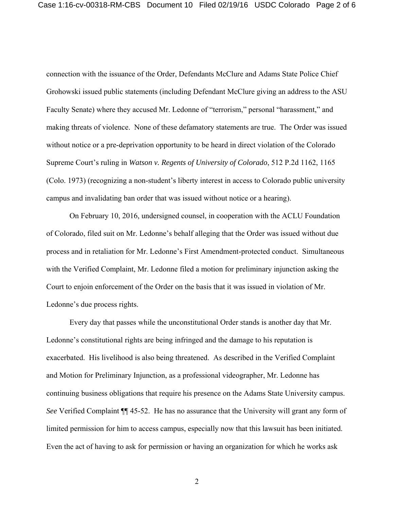connection with the issuance of the Order, Defendants McClure and Adams State Police Chief Grohowski issued public statements (including Defendant McClure giving an address to the ASU Faculty Senate) where they accused Mr. Ledonne of "terrorism," personal "harassment," and making threats of violence. None of these defamatory statements are true. The Order was issued without notice or a pre-deprivation opportunity to be heard in direct violation of the Colorado Supreme Court's ruling in *Watson v. Regents of University of Colorado*, 512 P.2d 1162, 1165 (Colo. 1973) (recognizing a non-student's liberty interest in access to Colorado public university campus and invalidating ban order that was issued without notice or a hearing).

On February 10, 2016, undersigned counsel, in cooperation with the ACLU Foundation of Colorado, filed suit on Mr. Ledonne's behalf alleging that the Order was issued without due process and in retaliation for Mr. Ledonne's First Amendment-protected conduct. Simultaneous with the Verified Complaint, Mr. Ledonne filed a motion for preliminary injunction asking the Court to enjoin enforcement of the Order on the basis that it was issued in violation of Mr. Ledonne's due process rights.

Every day that passes while the unconstitutional Order stands is another day that Mr. Ledonne's constitutional rights are being infringed and the damage to his reputation is exacerbated. His livelihood is also being threatened. As described in the Verified Complaint and Motion for Preliminary Injunction, as a professional videographer, Mr. Ledonne has continuing business obligations that require his presence on the Adams State University campus. *See* Verified Complaint ¶¶ 45-52. He has no assurance that the University will grant any form of limited permission for him to access campus, especially now that this lawsuit has been initiated. Even the act of having to ask for permission or having an organization for which he works ask

2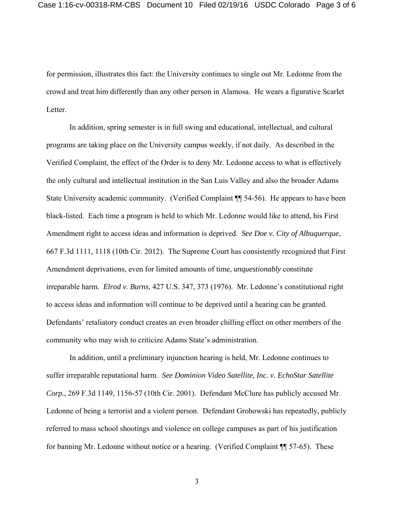for permission, illustrates this fact: the University continues to single out Mr. Ledonne from the crowd and treat him differently than any other person in Alamosa. He wears a figurative Scarlet Letter.

In addition, spring semester is in full swing and educational, intellectual, and cultural programs are taking place on the University campus weekly, if not daily. As described in the Verified Complaint, the effect of the Order is to deny Mr. Ledonne access to what is effectively the only cultural and intellectual institution in the San Luis Valley and also the broader Adams State University academic community. (Verified Complaint ¶¶ 54-56). He appears to have been black-listed. Each time a program is held to which Mr. Ledonne would like to attend, his First Amendment right to access ideas and information is deprived. *See Doe v. City of Albuquerque*, 667 F.3d 1111, 1118 (10th Cir. 2012). The Supreme Court has consistently recognized that First Amendment deprivations, even for limited amounts of time, *unquestionably* constitute irreparable harm. *Elrod v. Burns*, 427 U.S. 347, 373 (1976). Mr. Ledonne's constitutional right to access ideas and information will continue to be deprived until a hearing can be granted. Defendants' retaliatory conduct creates an even broader chilling effect on other members of the community who may wish to criticize Adams State's administration.

In addition, until a preliminary injunction hearing is held, Mr. Ledonne continues to suffer irreparable reputational harm. *See Dominion Video Satellite, Inc. v. EchoStar Satellite Corp.*, 269 F.3d 1149, 1156-57 (10th Cir. 2001).Defendant McClure has publicly accused Mr. Ledonne of being a terrorist and a violent person. Defendant Grohowski has repeatedly, publicly referred to mass school shootings and violence on college campuses as part of his justification for banning Mr. Ledonne without notice or a hearing. (Verified Complaint ¶¶ 57-65). These

3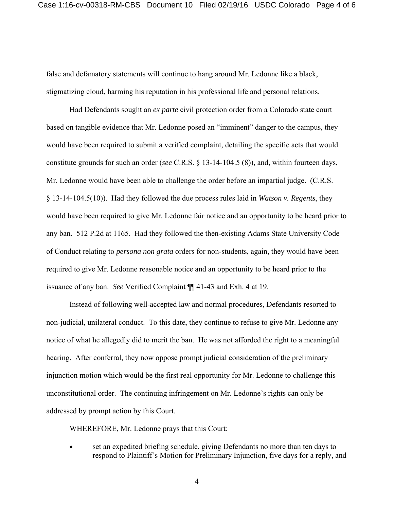false and defamatory statements will continue to hang around Mr. Ledonne like a black, stigmatizing cloud, harming his reputation in his professional life and personal relations.

Had Defendants sought an *ex parte* civil protection order from a Colorado state court based on tangible evidence that Mr. Ledonne posed an "imminent" danger to the campus, they would have been required to submit a verified complaint, detailing the specific acts that would constitute grounds for such an order (*see* C.R.S. § 13-14-104.5 (8)), and, within fourteen days, Mr. Ledonne would have been able to challenge the order before an impartial judge. (C.R.S. § 13-14-104.5(10)). Had they followed the due process rules laid in *Watson v. Regents*, they would have been required to give Mr. Ledonne fair notice and an opportunity to be heard prior to any ban. 512 P.2d at 1165. Had they followed the then-existing Adams State University Code of Conduct relating to *persona non grata* orders for non-students, again, they would have been required to give Mr. Ledonne reasonable notice and an opportunity to be heard prior to the issuance of any ban. *See* Verified Complaint ¶¶ 41-43 and Exh. 4 at 19.

Instead of following well-accepted law and normal procedures, Defendants resorted to non-judicial, unilateral conduct. To this date, they continue to refuse to give Mr. Ledonne any notice of what he allegedly did to merit the ban. He was not afforded the right to a meaningful hearing. After conferral, they now oppose prompt judicial consideration of the preliminary injunction motion which would be the first real opportunity for Mr. Ledonne to challenge this unconstitutional order. The continuing infringement on Mr. Ledonne's rights can only be addressed by prompt action by this Court.

WHEREFORE, Mr. Ledonne prays that this Court:

 set an expedited briefing schedule, giving Defendants no more than ten days to respond to Plaintiff's Motion for Preliminary Injunction, five days for a reply, and

4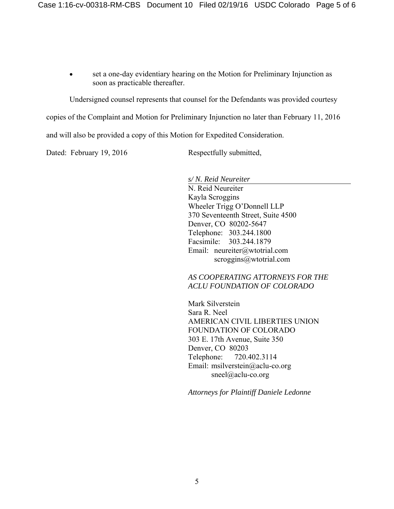set a one-day evidentiary hearing on the Motion for Preliminary Injunction as soon as practicable thereafter.

Undersigned counsel represents that counsel for the Defendants was provided courtesy

copies of the Complaint and Motion for Preliminary Injunction no later than February 11, 2016

and will also be provided a copy of this Motion for Expedited Consideration.

Dated: February 19, 2016 Respectfully submitted,

*s/ N. Reid Neureiter* 

 N. Reid Neureiter Kayla Scroggins Wheeler Trigg O'Donnell LLP 370 Seventeenth Street, Suite 4500 Denver, CO 80202-5647 Telephone: 303.244.1800 Facsimile: 303.244.1879 Email: neureiter@wtotrial.com scroggins@wtotrial.com

 *AS COOPERATING ATTORNEYS FOR THE ACLU FOUNDATION OF COLORADO* 

 Mark Silverstein Sara R. Neel AMERICAN CIVIL LIBERTIES UNION FOUNDATION OF COLORADO 303 E. 17th Avenue, Suite 350 Denver, CO 80203 Telephone: 720.402.3114 Email: msilverstein@aclu-co.org sneel@aclu-co.org

*Attorneys for Plaintiff Daniele Ledonne*